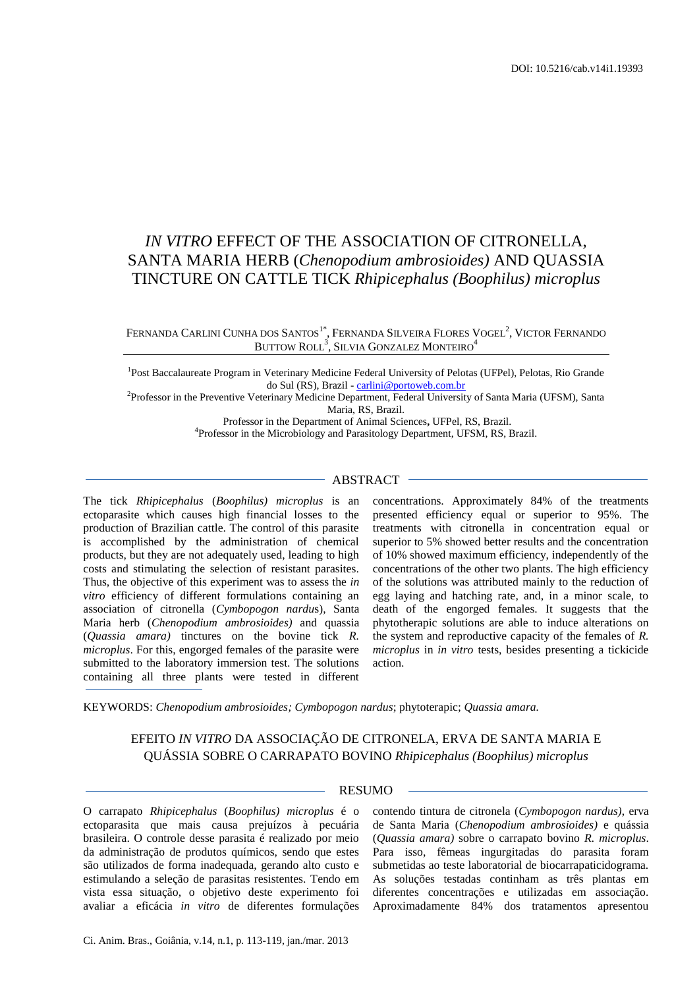# *IN VITRO* EFFECT OF THE ASSOCIATION OF CITRONELLA, SANTA MARIA HERB (*Chenopodium ambrosioides)* AND QUASSIA TINCTURE ON CATTLE TICK *Rhipicephalus (Boophilus) microplus*

# Fernanda Carlini Cunha dos Santos'<sup>\*</sup>, Fernanda Silveira Flores Vogel<sup>2</sup>, Victor Fernando BUTTOW  $\text{ROLL}^3$ , Silvia Gonzalez Monteiro $^4$

<sup>1</sup>Post Baccalaureate Program in Veterinary Medicine Federal University of Pelotas (UFPel), Pelotas, Rio Grande do Sul (RS), Brazil - [carlini@portoweb.com.br](mailto:carlini@portoweb.com.br)

2 Professor in the Preventive Veterinary Medicine Department, Federal University of Santa Maria (UFSM), Santa Maria, RS, Brazil.

> Professor in the Department of Animal Sciences**,** UFPel, RS, Brazil. 4 Professor in the Microbiology and Parasitology Department, UFSM, RS, Brazil.

#### ABSTRACT

The tick *Rhipicephalus* (*Boophilus) microplus* is an ectoparasite which causes high financial losses to the production of Brazilian cattle. The control of this parasite is accomplished by the administration of chemical products, but they are not adequately used, leading to high costs and stimulating the selection of resistant parasites. Thus, the objective of this experiment was to assess the *in vitro* efficiency of different formulations containing an association of citronella (*Cymbopogon nardu*s), Santa Maria herb (*Chenopodium ambrosioides)* and quassia (*Quassia amara)* tinctures on the bovine tick *R. microplus*. For this, engorged females of the parasite were submitted to the laboratory immersion test. The solutions containing all three plants were tested in different

concentrations. Approximately 84% of the treatments presented efficiency equal or superior to 95%. The treatments with citronella in concentration equal or superior to 5% showed better results and the concentration of 10% showed maximum efficiency, independently of the concentrations of the other two plants. The high efficiency of the solutions was attributed mainly to the reduction of egg laying and hatching rate, and, in a minor scale, to death of the engorged females. It suggests that the phytotherapic solutions are able to induce alterations on the system and reproductive capacity of the females of *R. microplus* in *in vitro* tests, besides presenting a tickicide action.

KEYWORDS: *Chenopodium ambrosioides; Cymbopogon nardus*; phytoterapic; *Quassia amara.*

# EFEITO *IN VITRO* DA ASSOCIAÇÃO DE CITRONELA, ERVA DE SANTA MARIA E QUÁSSIA SOBRE O CARRAPATO BOVINO *Rhipicephalus (Boophilus) microplus*

# RESUMO

O carrapato *Rhipicephalus* (*Boophilus) microplus* é o ectoparasita que mais causa prejuízos à pecuária brasileira. O controle desse parasita é realizado por meio da administração de produtos químicos, sendo que estes são utilizados de forma inadequada, gerando alto custo e estimulando a seleção de parasitas resistentes. Tendo em vista essa situação, o objetivo deste experimento foi avaliar a eficácia *in vitro* de diferentes formulações

contendo tintura de citronela (*Cymbopogon nardus)*, erva de Santa Maria (*Chenopodium ambrosioides)* e quássia (*Quassia amara)* sobre o carrapato bovino *R. microplus*. Para isso, fêmeas ingurgitadas do parasita foram submetidas ao teste laboratorial de biocarrapaticidograma. As soluções testadas continham as três plantas em diferentes concentrações e utilizadas em associação. Aproximadamente 84% dos tratamentos apresentou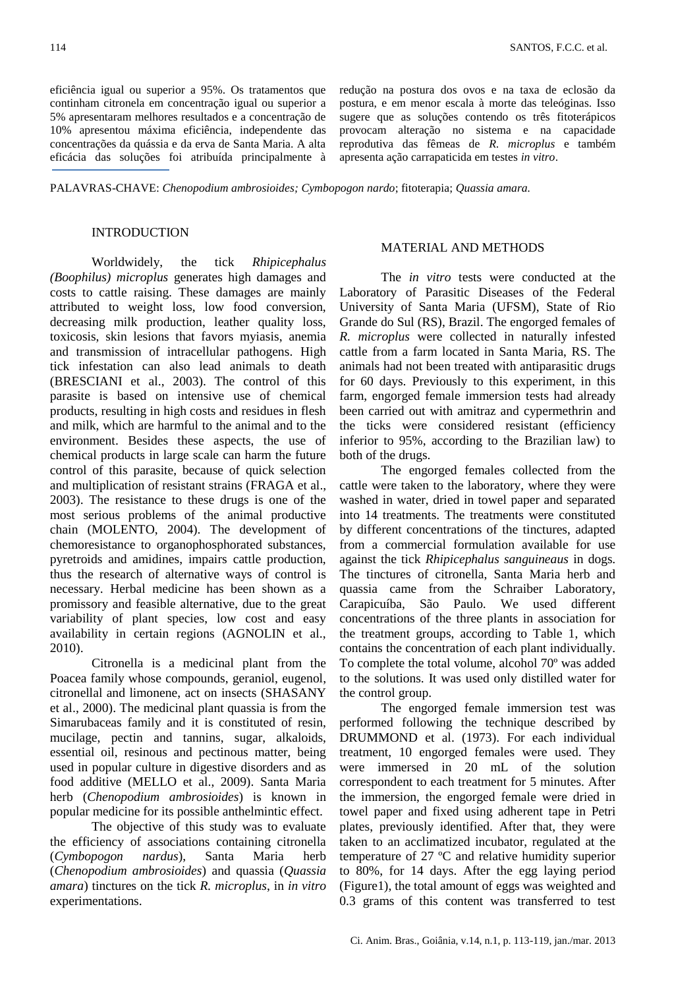eficiência igual ou superior a 95%. Os tratamentos que continham citronela em concentração igual ou superior a 5% apresentaram melhores resultados e a concentração de 10% apresentou máxima eficiência, independente das concentrações da quássia e da erva de Santa Maria. A alta eficácia das soluções foi atribuída principalmente à

redução na postura dos ovos e na taxa de eclosão da postura, e em menor escala à morte das teleóginas. Isso sugere que as soluções contendo os três fitoterápicos provocam alteração no sistema e na capacidade reprodutiva das fêmeas de *R. microplus* e também apresenta ação carrapaticida em testes *in vitro*.

#### PALAVRAS-CHAVE: *Chenopodium ambrosioides; Cymbopogon nardo*; fitoterapia; *Quassia amara.*

#### INTRODUCTION

Worldwidely, the tick *Rhipicephalus (Boophilus) microplus* generates high damages and costs to cattle raising. These damages are mainly attributed to weight loss, low food conversion, decreasing milk production, leather quality loss, toxicosis, skin lesions that favors myiasis, anemia and transmission of intracellular pathogens. High tick infestation can also lead animals to death (BRESCIANI et al., 2003). The control of this parasite is based on intensive use of chemical products, resulting in high costs and residues in flesh and milk, which are harmful to the animal and to the environment. Besides these aspects, the use of chemical products in large scale can harm the future control of this parasite, because of quick selection and multiplication of resistant strains (FRAGA et al., 2003). The resistance to these drugs is one of the most serious problems of the animal productive chain (MOLENTO, 2004). The development of chemoresistance to organophosphorated substances, pyretroids and amidines, impairs cattle production, thus the research of alternative ways of control is necessary. Herbal medicine has been shown as a promissory and feasible alternative, due to the great variability of plant species, low cost and easy availability in certain regions (AGNOLIN et al., 2010).

Citronella is a medicinal plant from the Poacea family whose compounds, geraniol, eugenol, citronellal and limonene, act on insects (SHASANY et al., 2000). The medicinal plant quassia is from the Simarubaceas family and it is constituted of resin, mucilage, pectin and tannins, sugar, alkaloids, essential oil, resinous and pectinous matter, being used in popular culture in digestive disorders and as food additive (MELLO et al., 2009). Santa Maria herb (*Chenopodium ambrosioides*) is known in popular medicine for its possible anthelmintic effect.

The objective of this study was to evaluate the efficiency of associations containing citronella (*Cymbopogon nardus*), Santa Maria herb (*Chenopodium ambrosioides*) and quassia (*Quassia amara*) tinctures on the tick *R. microplus*, in *in vitro* experimentations.

# MATERIAL AND METHODS

The *in vitro* tests were conducted at the Laboratory of Parasitic Diseases of the Federal University of Santa Maria (UFSM), State of Rio Grande do Sul (RS), Brazil. The engorged females of *R. microplus* were collected in naturally infested cattle from a farm located in Santa Maria, RS. The animals had not been treated with antiparasitic drugs for 60 days. Previously to this experiment, in this farm, engorged female immersion tests had already been carried out with amitraz and cypermethrin and the ticks were considered resistant (efficiency inferior to 95%, according to the Brazilian law) to both of the drugs.

The engorged females collected from the cattle were taken to the laboratory, where they were washed in water, dried in towel paper and separated into 14 treatments. The treatments were constituted by different concentrations of the tinctures, adapted from a commercial formulation available for use against the tick *Rhipicephalus sanguineaus* in dogs*.* The tinctures of citronella, Santa Maria herb and quassia came from the Schraiber Laboratory, Carapicuíba, São Paulo. We used different concentrations of the three plants in association for the treatment groups, according to Table 1, which contains the concentration of each plant individually. To complete the total volume, alcohol 70º was added to the solutions. It was used only distilled water for the control group.

The engorged female immersion test was performed following the technique described by DRUMMOND et al. (1973). For each individual treatment, 10 engorged females were used. They were immersed in 20 mL of the solution correspondent to each treatment for 5 minutes. After the immersion, the engorged female were dried in towel paper and fixed using adherent tape in Petri plates, previously identified. After that, they were taken to an acclimatized incubator, regulated at the temperature of 27 ºC and relative humidity superior to 80%, for 14 days. After the egg laying period (Figure1), the total amount of eggs was weighted and 0.3 grams of this content was transferred to test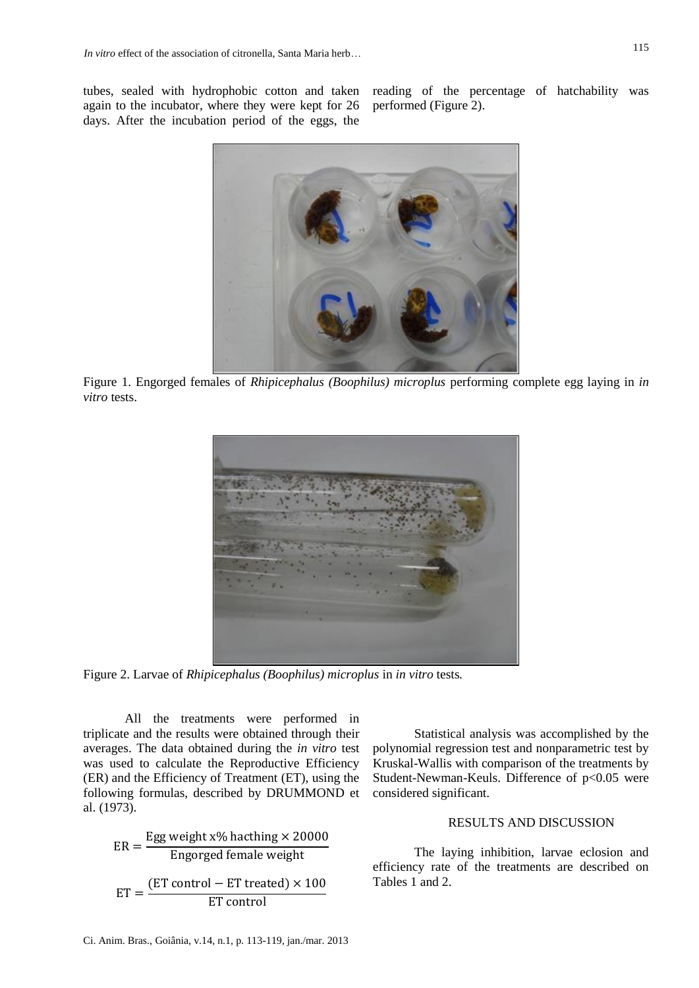tubes, sealed with hydrophobic cotton and taken again to the incubator, where they were kept for 26 days. After the incubation period of the eggs, the

reading of the percentage of hatchability was performed (Figure 2).



Figure 1. Engorged females of *Rhipicephalus (Boophilus) microplus* performing complete egg laying in *in vitro* tests.



Figure 2. Larvae of *Rhipicephalus (Boophilus) microplus* in *in vitro* tests*.*

All the treatments were performed in triplicate and the results were obtained through their averages. The data obtained during the *in vitro* test was used to calculate the Reproductive Efficiency (ER) and the Efficiency of Treatment (ET), using the following formulas, described by DRUMMOND et al. (1973).

$$
ER = \frac{Egg weight x\% \text{ hacthing} \times 20000}{Engorged female weight}
$$

$$
ET = \frac{(ET \text{ control} - ET \text{ treated}) \times 100}{ET \text{ control}}
$$

Statistical analysis was accomplished by the polynomial regression test and nonparametric test by Kruskal-Wallis with comparison of the treatments by Student-Newman-Keuls. Difference of p<0.05 were considered significant.

### RESULTS AND DISCUSSION

The laying inhibition, larvae eclosion and efficiency rate of the treatments are described on Tables 1 and 2.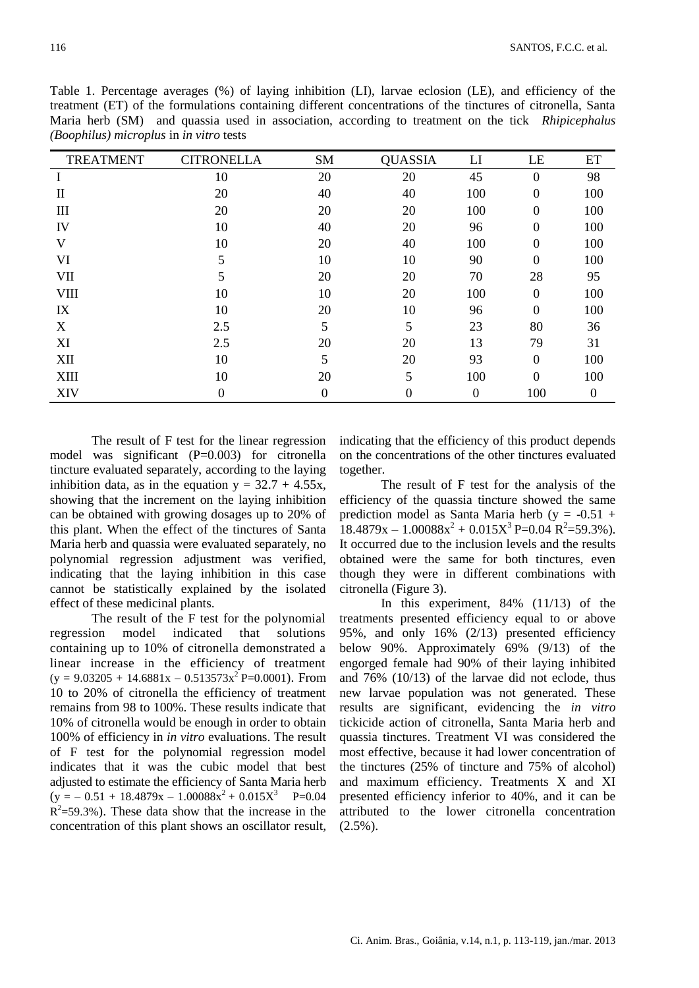| Table 1. Percentage averages (%) of laying inhibition (LI), larvae eclosion (LE), and efficiency of the      |  |
|--------------------------------------------------------------------------------------------------------------|--|
| treatment (ET) of the formulations containing different concentrations of the tinctures of citronella, Santa |  |
| Maria herb (SM) and quassia used in association, according to treatment on the tick <i>Rhipicephalus</i>     |  |
| <i>(Boophilus) microplus in in vitro tests</i>                                                               |  |

| <b>TREATMENT</b> | <b>CITRONELLA</b> | <b>SM</b> | <b>QUASSIA</b> | LI               | LE               | ET               |
|------------------|-------------------|-----------|----------------|------------------|------------------|------------------|
| I                | 10                | 20        | 20             | 45               | $\boldsymbol{0}$ | 98               |
| $\mathbf{I}$     | 20                | 40        | 40             | 100              | $\boldsymbol{0}$ | 100              |
| III              | 20                | 20        | 20             | 100              | $\boldsymbol{0}$ | 100              |
| IV               | 10                | 40        | 20             | 96               | $\boldsymbol{0}$ | 100              |
| V                | 10                | 20        | 40             | 100              | $\boldsymbol{0}$ | 100              |
| VI               | 5                 | 10        | 10             | 90               | $\boldsymbol{0}$ | 100              |
| <b>VII</b>       | 5                 | 20        | 20             | 70               | 28               | 95               |
| <b>VIII</b>      | 10                | 10        | 20             | 100              | $\boldsymbol{0}$ | 100              |
| IX               | 10                | 20        | 10             | 96               | $\boldsymbol{0}$ | 100              |
| X                | 2.5               | 5         | 5              | 23               | 80               | 36               |
| XI               | 2.5               | 20        | 20             | 13               | 79               | 31               |
| XII              | 10                | 5         | 20             | 93               | $\boldsymbol{0}$ | 100              |
| XIII             | 10                | 20        | 5              | 100              | $\boldsymbol{0}$ | 100              |
| XIV              | $\boldsymbol{0}$  | 0         | 0              | $\boldsymbol{0}$ | 100              | $\boldsymbol{0}$ |

The result of F test for the linear regression model was significant (P=0.003) for citronella tincture evaluated separately, according to the laying inhibition data, as in the equation  $y = 32.7 + 4.55x$ , showing that the increment on the laying inhibition can be obtained with growing dosages up to 20% of this plant. When the effect of the tinctures of Santa Maria herb and quassia were evaluated separately, no polynomial regression adjustment was verified, indicating that the laying inhibition in this case cannot be statistically explained by the isolated effect of these medicinal plants.

The result of the F test for the polynomial regression model indicated that solutions containing up to 10% of citronella demonstrated a linear increase in the efficiency of treatment  $(y = 9.03205 + 14.6881x - 0.513573x^2P=0.0001)$ . From 10 to 20% of citronella the efficiency of treatment remains from 98 to 100%. These results indicate that 10% of citronella would be enough in order to obtain 100% of efficiency in *in vitro* evaluations. The result of F test for the polynomial regression model indicates that it was the cubic model that best adjusted to estimate the efficiency of Santa Maria herb  $(y = -0.51 + 18.4879x - 1.00088x^{2} + 0.015X^{3}$  P=0.04  $R^2$ =59.3%). These data show that the increase in the concentration of this plant shows an oscillator result,

indicating that the efficiency of this product depends on the concentrations of the other tinctures evaluated together.

The result of F test for the analysis of the efficiency of the quassia tincture showed the same prediction model as Santa Maria herb ( $y = -0.51 +$  $18.4879x - 1.00088x^2 + 0.015X^3P = 0.04 R^2 = 59.3\%$ . It occurred due to the inclusion levels and the results obtained were the same for both tinctures, even though they were in different combinations with citronella (Figure 3).

In this experiment, 84% (11/13) of the treatments presented efficiency equal to or above 95%, and only 16% (2/13) presented efficiency below 90%. Approximately 69% (9/13) of the engorged female had 90% of their laying inhibited and 76% (10/13) of the larvae did not eclode, thus new larvae population was not generated. These results are significant, evidencing the *in vitro* tickicide action of citronella, Santa Maria herb and quassia tinctures. Treatment VI was considered the most effective, because it had lower concentration of the tinctures (25% of tincture and 75% of alcohol) and maximum efficiency. Treatments X and XI presented efficiency inferior to 40%, and it can be attributed to the lower citronella concentration  $(2.5\%)$ .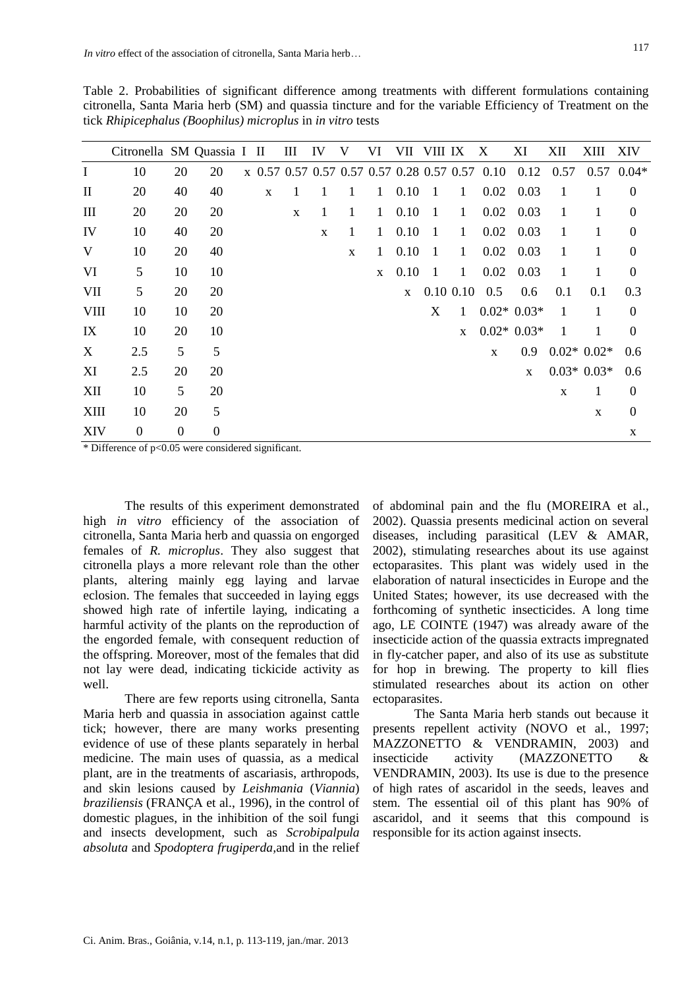Table 2. Probabilities of significant difference among treatments with different formulations containing citronella, Santa Maria herb (SM) and quassia tincture and for the variable Efficiency of Treatment on the tick *Rhipicephalus (Boophilus) microplus* in *in vitro* tests

|              | Citronella SM Quassia I II |              |                  |             | III         | IV | V            | VI           | VII          | VIII IX        |              | X                                              | ΧI                | XII          | XIII          | <b>XIV</b>     |
|--------------|----------------------------|--------------|------------------|-------------|-------------|----|--------------|--------------|--------------|----------------|--------------|------------------------------------------------|-------------------|--------------|---------------|----------------|
| $\bf{I}$     | 10                         | 20           | 20               |             |             |    |              |              |              |                |              | x 0.57 0.57 0.57 0.57 0.57 0.28 0.57 0.57 0.10 | 0.12              | 0.57         |               | $0.57$ $0.04*$ |
| $\mathbf{I}$ | 20                         | 40           | 40               | $\mathbf X$ | 1           |    | 1            | 1            | 0.10         | $\mathbf{1}$   | $\mathbf{1}$ | 0.02                                           | 0.03              | 1            | 1             | $\overline{0}$ |
| III          | 20                         | 20           | 20               |             | $\mathbf X$ | 1  | $\mathbf{1}$ | $\mathbf{1}$ | 0.10         | $\overline{1}$ | $\mathbf{1}$ | 0.02                                           | 0.03              | 1            | 1             | $\mathbf{0}$   |
| IV           | 10                         | 40           | 20               |             |             | X  | $\mathbf{1}$ | 1            | 0.10         | $\overline{1}$ | $\mathbf{1}$ | 0.02                                           | 0.03              | 1            | 1             | $\theta$       |
| V            | 10                         | 20           | 40               |             |             |    | X            | 1            | 0.10         | $\overline{1}$ | $\mathbf{1}$ |                                                | $0.02 \quad 0.03$ | 1            | 1             | $\mathbf{0}$   |
| VI           | 5                          | 10           | 10               |             |             |    |              | $\mathbf{x}$ | 0.10         | $\overline{1}$ | $\mathbf{1}$ | 0.02                                           | 0.03              | 1            | 1             | $\theta$       |
| VII          | 5                          | 20           | 20               |             |             |    |              |              | $\mathbf{X}$ |                |              | $0.10\ 0.10\ 0.5$                              | 0.6               | 0.1          | 0.1           | 0.3            |
| VIII         | 10                         | 10           | 20               |             |             |    |              |              |              | X              | $\mathbf{1}$ |                                                | $0.02* 0.03*$     | 1            | 1             | $\theta$       |
| IX           | 10                         | 20           | 10               |             |             |    |              |              |              |                | $\mathbf{X}$ |                                                | $0.02* 0.03*$     | $\mathbf{1}$ | 1             | $\Omega$       |
| X            | 2.5                        | 5            | 5                |             |             |    |              |              |              |                |              | $\mathbf{X}$                                   | 0.9 <sub>z</sub>  |              | $0.02* 0.02*$ | 0.6            |
| XI           | 2.5                        | 20           | 20               |             |             |    |              |              |              |                |              |                                                | $\mathbf{x}$      |              | $0.03* 0.03*$ | $0.6^{\circ}$  |
| XII          | 10                         | 5            | 20               |             |             |    |              |              |              |                |              |                                                |                   | X            | 1             | $\theta$       |
| XIII         | 10                         | 20           | 5                |             |             |    |              |              |              |                |              |                                                |                   |              | $\mathbf X$   | $\theta$       |
| <b>XIV</b>   | $\mathbf{0}$               | $\mathbf{0}$ | $\boldsymbol{0}$ |             |             |    |              |              |              |                |              |                                                |                   |              |               | $\mathbf X$    |

\* Difference of p<0.05 were considered significant.

The results of this experiment demonstrated high *in vitro* efficiency of the association of citronella, Santa Maria herb and quassia on engorged females of *R. microplus*. They also suggest that citronella plays a more relevant role than the other plants, altering mainly egg laying and larvae eclosion. The females that succeeded in laying eggs showed high rate of infertile laying, indicating a harmful activity of the plants on the reproduction of the engorded female, with consequent reduction of the offspring. Moreover, most of the females that did not lay were dead, indicating tickicide activity as well.

There are few reports using citronella, Santa Maria herb and quassia in association against cattle tick; however, there are many works presenting evidence of use of these plants separately in herbal medicine. The main uses of quassia, as a medical plant, are in the treatments of ascariasis, arthropods, and skin lesions caused by *Leishmania* (*Viannia*) *braziliensis* (FRANÇA et al., 1996), in the control of domestic plagues, in the inhibition of the soil fungi and insects development, such as *Scrobipalpula absoluta* and *Spodoptera frugiperda,*and in the relief of abdominal pain and the flu (MOREIRA et al., 2002). Quassia presents medicinal action on several diseases, including parasitical (LEV & AMAR, 2002), stimulating researches about its use against ectoparasites. This plant was widely used in the elaboration of natural insecticides in Europe and the United States; however, its use decreased with the forthcoming of synthetic insecticides. A long time ago, LE COINTE (1947) was already aware of the insecticide action of the quassia extracts impregnated in fly-catcher paper, and also of its use as substitute for hop in brewing. The property to kill flies stimulated researches about its action on other ectoparasites.

The Santa Maria herb stands out because it presents repellent activity (NOVO et al*.*, 1997; MAZZONETTO & VENDRAMIN, 2003) and insecticide activity (MAZZONETTO & VENDRAMIN, 2003). Its use is due to the presence of high rates of ascaridol in the seeds, leaves and stem. The essential oil of this plant has 90% of ascaridol, and it seems that this compound is responsible for its action against insects.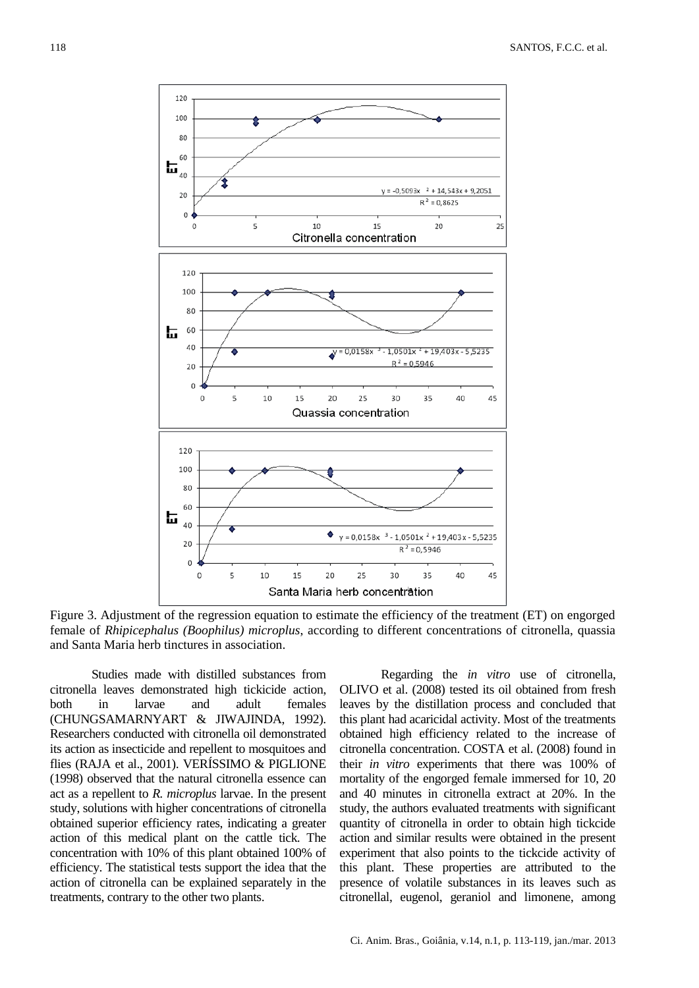

Figure 3. Adjustment of the regression equation to estimate the efficiency of the treatment (ET) on engorged female of *Rhipicephalus (Boophilus) microplus*, according to different concentrations of citronella, quassia and Santa Maria herb tinctures in association.

Studies made with distilled substances from citronella leaves demonstrated high tickicide action, both in larvae and adult females (CHUNGSAMARNYART & JIWAJINDA, 1992). Researchers conducted with citronella oil demonstrated its action as insecticide and repellent to mosquitoes and flies (RAJA et al., 2001). VERÍSSIMO & PIGLIONE (1998) observed that the natural citronella essence can act as a repellent to *R. microplus* larvae. In the present study, solutions with higher concentrations of citronella obtained superior efficiency rates, indicating a greater action of this medical plant on the cattle tick. The concentration with 10% of this plant obtained 100% of efficiency. The statistical tests support the idea that the action of citronella can be explained separately in the treatments, contrary to the other two plants.

Regarding the *in vitro* use of citronella, OLIVO et al. (2008) tested its oil obtained from fresh leaves by the distillation process and concluded that this plant had acaricidal activity. Most of the treatments obtained high efficiency related to the increase of citronella concentration. COSTA et al. (2008) found in their *in vitro* experiments that there was 100% of mortality of the engorged female immersed for 10, 20 and 40 minutes in citronella extract at 20%. In the study, the authors evaluated treatments with significant quantity of citronella in order to obtain high tickcide action and similar results were obtained in the present experiment that also points to the tickcide activity of this plant. These properties are attributed to the presence of volatile substances in its leaves such as citronellal, eugenol, geraniol and limonene, among